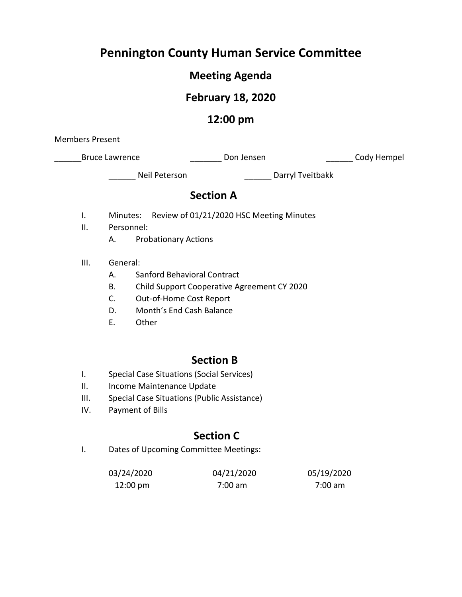# **Pennington County Human Service Committee**

# **Meeting Agenda**

# **February 18, 2020**

### **12:00 pm**

Members Present

\_Bruce Lawrence \_\_\_\_\_\_\_\_\_\_\_\_\_\_\_\_\_\_\_ Don Jensen \_\_\_\_\_\_\_\_\_\_\_\_\_\_\_\_\_\_\_\_\_ Cody Hempel

\_\_\_\_\_\_ Neil Peterson \_\_\_\_\_\_ Darryl Tveitbakk

### **Section A**

- I. Minutes: Review of 01/21/2020 HSC Meeting Minutes
- II. Personnel:
	- A. Probationary Actions
- III. General:
	- A. Sanford Behavioral Contract
	- B. Child Support Cooperative Agreement CY 2020
	- C. Out-of-Home Cost Report
	- D. Month's End Cash Balance
	- E. Other

### **Section B**

- I. Special Case Situations (Social Services)
- II. Income Maintenance Update
- III. Special Case Situations (Public Assistance)
- IV. Payment of Bills

### **Section C**

I. Dates of Upcoming Committee Meetings:

| 03/24/2020         | 04/21/2020 | 05/19/2020 |
|--------------------|------------|------------|
| $12:00 \text{ pm}$ | 7:00 am    | 7:00 am    |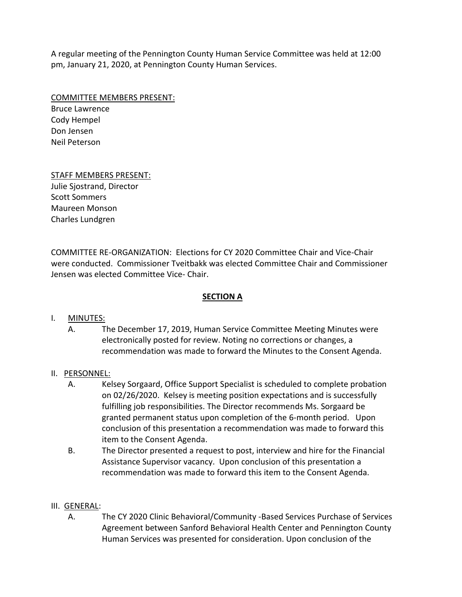A regular meeting of the Pennington County Human Service Committee was held at 12:00 pm, January 21, 2020, at Pennington County Human Services.

COMMITTEE MEMBERS PRESENT:

Bruce Lawrence Cody Hempel Don Jensen Neil Peterson

#### STAFF MEMBERS PRESENT:

Julie Sjostrand, Director Scott Sommers Maureen Monson Charles Lundgren

COMMITTEE RE-ORGANIZATION: Elections for CY 2020 Committee Chair and Vice-Chair were conducted. Commissioner Tveitbakk was elected Committee Chair and Commissioner Jensen was elected Committee Vice- Chair.

#### **SECTION A**

#### I. MINUTES:

A. The December 17, 2019, Human Service Committee Meeting Minutes were electronically posted for review. Noting no corrections or changes, a recommendation was made to forward the Minutes to the Consent Agenda.

#### II. PERSONNEL:

- A. Kelsey Sorgaard, Office Support Specialist is scheduled to complete probation on 02/26/2020. Kelsey is meeting position expectations and is successfully fulfilling job responsibilities. The Director recommends Ms. Sorgaard be granted permanent status upon completion of the 6-month period. Upon conclusion of this presentation a recommendation was made to forward this item to the Consent Agenda.
- B. The Director presented a request to post, interview and hire for the Financial Assistance Supervisor vacancy. Upon conclusion of this presentation a recommendation was made to forward this item to the Consent Agenda.

#### III. GENERAL:

A. The CY 2020 Clinic Behavioral/Community -Based Services Purchase of Services Agreement between Sanford Behavioral Health Center and Pennington County Human Services was presented for consideration. Upon conclusion of the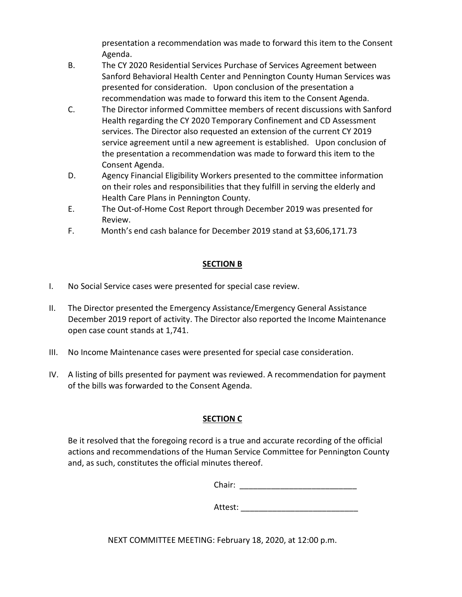presentation a recommendation was made to forward this item to the Consent Agenda.

- B. The CY 2020 Residential Services Purchase of Services Agreement between Sanford Behavioral Health Center and Pennington County Human Services was presented for consideration. Upon conclusion of the presentation a recommendation was made to forward this item to the Consent Agenda.
- C. The Director informed Committee members of recent discussions with Sanford Health regarding the CY 2020 Temporary Confinement and CD Assessment services. The Director also requested an extension of the current CY 2019 service agreement until a new agreement is established. Upon conclusion of the presentation a recommendation was made to forward this item to the Consent Agenda.
- D. Agency Financial Eligibility Workers presented to the committee information on their roles and responsibilities that they fulfill in serving the elderly and Health Care Plans in Pennington County.
- E. The Out-of-Home Cost Report through December 2019 was presented for Review.
- F. Month's end cash balance for December 2019 stand at \$3,606,171.73

#### **SECTION B**

- I. No Social Service cases were presented for special case review.
- II. The Director presented the Emergency Assistance/Emergency General Assistance December 2019 report of activity. The Director also reported the Income Maintenance open case count stands at 1,741.
- III. No Income Maintenance cases were presented for special case consideration.
- IV. A listing of bills presented for payment was reviewed. A recommendation for payment of the bills was forwarded to the Consent Agenda.

#### **SECTION C**

Be it resolved that the foregoing record is a true and accurate recording of the official actions and recommendations of the Human Service Committee for Pennington County and, as such, constitutes the official minutes thereof.

Chair: \_\_\_\_\_\_\_\_\_\_\_\_\_\_\_\_\_\_\_\_\_\_\_\_\_\_

Attest:

NEXT COMMITTEE MEETING: February 18, 2020, at 12:00 p.m.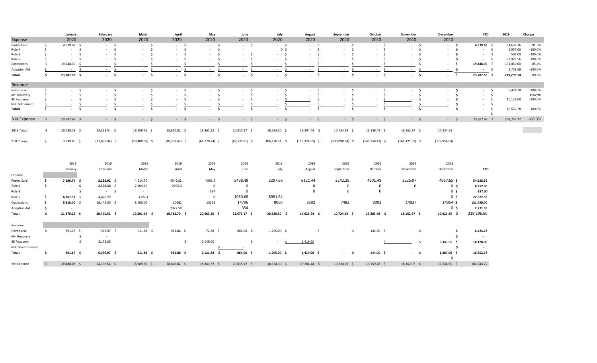|                         |                     | January                 | February                  | March            | April                    | May                           | June                 | July                   | August             | September               | October            | November                      | December       | <b>YTD</b>       | 2019                | Change     |
|-------------------------|---------------------|-------------------------|---------------------------|------------------|--------------------------|-------------------------------|----------------------|------------------------|--------------------|-------------------------|--------------------|-------------------------------|----------------|------------------|---------------------|------------|
| Expense                 |                     | 2020                    | 2020                      | 2020             | 2020                     | 2020                          | 2020                 | 2020                   | 2020               | 2020                    | 2020               | 2020                          | 2020           |                  |                     |            |
| Foster Care             | $\frac{1}{2}$       | 4,639.68 \$             | $-5$                      | $-5$             | $-5$                     | $-5$                          | $-5$                 | $-5$                   | $-5$               | $-5$                    | $-5$               | $-5$                          | $\sim$ \$      | 4,639.68 \$      | 54,638.36           | $-91.5%$   |
| Rule 4                  | \$                  | $-5$                    | $-5$                      | S.<br>$\sim$     | $-5$                     | $-5$                          | $\sim$               | 0 <sup>5</sup>         | \$<br>$\sim$       | $-5$                    | $-5$               | \$<br>$\sim$                  | $-5$           | $-5$             | 6,957.00            | $-100.0%$  |
| Rule 8                  | - Ś                 | - Ś<br>$\sim$           | $-5$                      | $\sim$<br>- S    | $-5$                     | $\mathsf{S}$<br>$\sim$        | $-5$                 | $-5$                   | - \$<br>$\sim$     | $\sim$<br>- S           | $-5$               | S.<br>$\sim$                  | - \$           | $-5$             | 597.00              | $-100.0\%$ |
| Rule 5                  | - Ś                 | $\sim$                  | $-5$                      | - \$<br>$\sim$   | - \$<br>$\sim$           | - \$<br>$\sim$                | $\sim$<br>$\sim$     | $-5$                   | - Ś<br>$\sim$      | $\sim$<br>- S           | - \$<br>$\sim$     | - Ś<br>$\sim$                 | $-5$           | $-5$             | 22,922.56           | $-100.0\%$ |
| Corrections             | -Ś                  | 19,148.00               | $-5$                      | S.<br>$\sim$     | $-5$                     | s.<br>$\sim$                  | $-5$                 | $-5$                   | - \$<br>$\sim$     | S.<br>$\sim$            | - \$               | -Ś<br>$\sim$                  | $-5$           | 19,148.00 \$     | 131,450.00          | $-85.4%$   |
| Adoption Aid            | -S                  | \$<br><b>Contract</b>   | $-5$                      | \$<br>$\sim$     | s.<br><b>Service</b>     | - \$<br>$\sim$                | $\sim$<br>$\sim 100$ | - Ś<br><b>Contract</b> | - Ś<br>$\sim$      | - \$<br>$\sim$          | - \$               | - Ś<br>$\sim$                 | $\sim$ \$      | $-5$             | 2,731.58            | $-100.0\%$ |
| Totals                  | s.                  | 23,787.68 \$            | $-5$                      | $-5$             | $-5$                     | $-5$                          | $-5$                 | $-5$                   | $-5$               | $-5$                    | $-5$               | $-5$                          | $-5$           | $23,787.68$ \$   | 219,296.50          | $-89.2%$   |
| Revenue                 |                     |                         |                           |                  |                          |                               |                      |                        |                    |                         |                    |                               |                |                  |                     |            |
| Reimburse               | - Ś                 | - \$<br>$\sim 10^{-11}$ | $-5$                      | $-5$             | $-5$                     | $-5$                          | $-5$                 | $-5$                   | $-5$               | $-5$                    | $-5$               | $-5$                          | $-5$           | $-5$             | 6,424.78            | $-100.0%$  |
| <b>MH Recovery</b>      |                     | s.<br>$\sim$            | $-5$                      | \$<br>$\sim$     | $-5$                     | $-5$                          | $\sim$<br>$\sim$     | $-5$                   | \$<br>$\sim$       | $\mathsf{S}$<br>$\sim$  | $-5$               | $\ddot{\mathsf{s}}$<br>$\sim$ | $-5$           | $-5$             | $\sim$              | #DIV/0!    |
| <b>4E Recovery</b>      |                     | - \$<br>$\sim$          | $\sim$<br>$\sim 10^{-11}$ | - \$<br>$\sim$   | $\sim$<br><b>Service</b> | $\ddot{\mathsf{s}}$<br>$\sim$ | $\sim$<br>$\sim$     | $\sim$                 | -\$                | - \$<br>$\sim$          | $\sim$             | -\$                           | - \$           | $-5$             | 10,128.00           | $-100.0%$  |
| <b>NFC Settlement</b>   |                     |                         |                           |                  |                          |                               |                      |                        |                    |                         |                    |                               | -\$            | $-5$             | $\sim$              |            |
| Totals                  | - S                 | s.<br>$\sim$            | - Ś<br>$\sim$             | - Ś<br>$\sim$    | - \$<br>$\sim$           | - \$<br>$\sim$                | - Ś<br>$\sim$        | $-5$                   | \$<br>$\sim$       | $\sim$<br>- \$          | - \$<br>$\sim$     | - \$<br>$\sim$                | - \$           | $-5$<br>- \$     | 16,552.78<br>$\sim$ | $-100.0\%$ |
| Net Expense             | - S                 | 23,787.68 \$            | $-5$                      | $-$ \$           | $-5$                     | $-5$                          | $-$ \$               | $-5$                   | $-5$               | $-5$                    | $-5$               | $-5$                          | $-5$           | 23,787.68 \$     | 202,743.72          | $-88.3%$   |
|                         |                     |                         |                           |                  |                          |                               |                      |                        |                    |                         |                    |                               |                |                  |                     |            |
| 2019 Totals             | $\ddot{\mathsf{s}}$ | 20,488.08 \$            | 14,398.54 \$              | 18,389.66 \$     | 18,870.82 \$             | 18,361.32 \$                  | 20,815.17 \$         | 18,634.30 \$           | 13,204.44 \$       | 10,724.29 \$            | 13,159.48 \$       | 18,162.97 \$                  | 17,534.65      |                  |                     |            |
| YTD Change              | S.                  | $3,299.60$ \$           | $(11,098.94)$ \$          | $(29,488.60)$ \$ | $(48,359.42)$ \$         | $(66,720.74)$ \$              | $(87,535.91)$ \$     | $(106, 170.21)$ \$     | $(119, 374.65)$ \$ | $(130,098.94)$ \$       | $(143, 258.42)$ \$ | $(161, 421.39)$ \$            | (178, 956.04)  |                  |                     |            |
|                         |                     |                         |                           |                  |                          |                               |                      |                        |                    |                         |                    |                               |                |                  |                     |            |
|                         |                     | 2019                    | 2019                      | 2019             | 2019                     | 2019                          | 2019                 | 2019                   | 2019               | 2019                    | 2019               | 2019                          | 2019           |                  |                     |            |
|                         |                     | January                 | February                  | March            | April                    | May                           | June                 | July                   | August             | September               | October            | November                      | December       | <b>YTD</b>       |                     |            |
| Expense                 |                     |                         |                           |                  |                          |                               |                      |                        |                    |                         |                    |                               |                |                  |                     |            |
|                         | \$                  | 7,196.74 \$             | $3,233.92$ \$             | 4,614.70         | 4346.82                  | 4591.2                        | 5498.49              | 3297.66                | 6121.44            | 3242.29                 | 4301.48            | 3225.97                       | 4967.65 \$     | 54,638.36        |                     |            |
| Foster Care             |                     |                         |                           |                  |                          |                               |                      |                        |                    |                         |                    |                               |                |                  |                     |            |
| Rule 4                  | \$                  | $-5$                    | 2,396.30 \$               | 2,164.40         | 2396.3                   | $\mathbf 0$                   | $\mathbf 0$          |                        | $\mathbf{0}$       | $\overline{\mathbf{0}}$ | 0                  | $\mathbf 0$                   | 0 <sup>5</sup> | 6,957.00         |                     |            |
| Rule 8                  |                     | \$                      | $-5$                      | $\sim 10^{-11}$  |                          | 597                           | $\mathbf 0$          |                        | $\Omega$           | $\overline{\mathbf{0}}$ | $\mathbf 0$        |                               | 0 <sup>5</sup> | 597.00           |                     |            |
| Rule 5                  | - Ś                 | 4,367.51 \$             | 4,420.29                  | 4122.4           |                          | $\Omega$                      | 1030.68              | 8981.64                |                    |                         |                    |                               | 0 <sup>5</sup> | 22,922.56        |                     |            |
| Corrections             | - Ś                 | $9,815.00$ \$           | 10,445.00 \$              | 8,400.00         | 10662                    | 15295                         | 14796                | 8060                   | 8502               | 7482                    | 9002               | 14937                         | 14054 \$       | 131,450.00       |                     |            |
| <b>Adoption Aid</b>     | -\$                 | $\sim 100$              |                           |                  | 2377.58                  |                               | 354                  |                        |                    |                         |                    |                               | 0 <sup>5</sup> | 2,731.58         |                     |            |
| Totals                  | $\mathsf{S}$        | 21,379.25 \$            | 20,495.51 \$              | 19,301.54 \$     | 19,782.70 \$             | 20,483.20 \$                  | 21,679.17 \$         | 20,339.30 \$           | 14,623.44 \$       | 10,724.29 \$            | 13,303.48 \$       | 18,162.97 \$                  | $19,021.65$ \$ | 219,296.50       |                     |            |
| Revenue                 |                     |                         |                           |                  |                          |                               |                      |                        |                    |                         |                    |                               |                |                  |                     |            |
|                         | \$                  | 891.17 \$               | $923.97$ \$               | 911.88 \$        | $911.88 \; \;$ \$        | 72.88 \$                      | 864.00 \$            | 1,705.00 \$            | $-5$               | $-5$                    | 144.00 \$          | $-5$                          |                | 6,424.78         |                     |            |
| Reimburse               |                     |                         |                           |                  |                          |                               |                      |                        |                    |                         |                    |                               | $-5$           |                  |                     |            |
| MH Recovery             |                     | \$                      | $\sim$                    |                  |                          |                               |                      |                        |                    |                         |                    |                               | s.             | $\sim$ $-$       |                     |            |
| 4E Recovery             |                     | -\$                     | 5,173.00                  |                  | $\frac{1}{2}$            | 2,049.00                      | \$                   | -S<br><b>Contract</b>  | 1,419.00           |                         |                    | $-5$                          | 1,487.00 \$    | 10,128.00        |                     |            |
| <b>NFC Sewettlement</b> |                     |                         |                           |                  |                          |                               |                      |                        |                    |                         |                    |                               | - S            | $\sim$ 100 $\pm$ |                     |            |
| Totals                  | s.                  | 891.17 \$               | $6,096.97$ \$             | $911.88 \quad $$ | $911.88 \quad $$         | $2,121.88$ \$                 | 864.00 \$            | $1,705.00$ \$          | $1,419.00$ \$      | $-5$                    | 144.00 \$          | $-5$                          | 1,487.00 \$    | 16,552.78        |                     |            |
|                         |                     |                         |                           |                  |                          |                               |                      |                        |                    |                         |                    |                               | $\mathbf 0$    |                  |                     |            |
| Net Expense             | $\ddot{\mathsf{s}}$ | 20,488.08 \$            | 14,398.54 \$              | 18,389.66 \$     | 18,870.82 \$             | 18,361.32 \$                  | 20,815.17 \$         | 18,634.30 \$           | 13,204.44 \$       | 10,724.29 \$            | 13,159.48 \$       | 18,162.97 \$                  | 17,534.65 \$   | 202,743.72       |                     |            |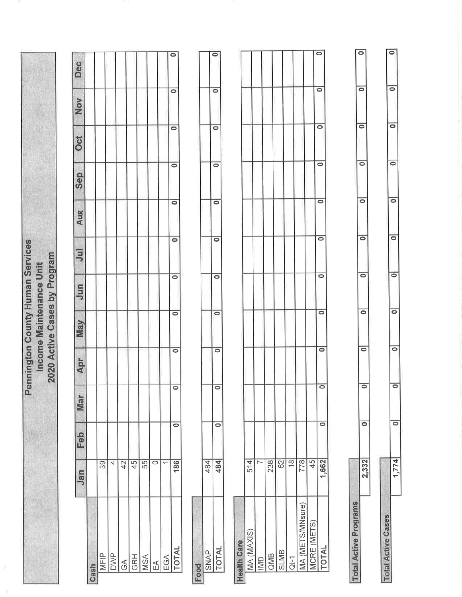|                              |                          |                      |                      |                      |                      | <b>Pennington County Human Services</b><br>2020 Active Cases by Program<br>Income Maintenance Unit |                    |                      |                      |                      |                      |                      |                      |
|------------------------------|--------------------------|----------------------|----------------------|----------------------|----------------------|----------------------------------------------------------------------------------------------------|--------------------|----------------------|----------------------|----------------------|----------------------|----------------------|----------------------|
|                              |                          |                      |                      |                      |                      |                                                                                                    |                    |                      |                      |                      |                      |                      |                      |
|                              | Jan                      | Feb                  | <b>Mar</b>           | Apr                  | VaN                  | Jun                                                                                                | $\overline{5}$     | Aug                  | Sep                  | Oct                  | Nov                  | Dec                  |                      |
| Cash                         |                          |                      |                      |                      |                      |                                                                                                    |                    |                      |                      |                      |                      |                      |                      |
| MFIP                         | 39                       |                      |                      |                      |                      |                                                                                                    |                    |                      |                      |                      |                      |                      |                      |
| <b>DWP</b>                   | $\overline{4}$           |                      |                      |                      |                      |                                                                                                    |                    |                      |                      |                      |                      |                      |                      |
| $\Im$                        | 42                       |                      |                      |                      |                      |                                                                                                    |                    |                      |                      |                      |                      |                      |                      |
| <b>GRH</b>                   | 45                       |                      |                      |                      |                      |                                                                                                    |                    |                      |                      |                      |                      |                      |                      |
| <b>MSA</b>                   | 55                       |                      |                      |                      |                      |                                                                                                    |                    |                      |                      |                      |                      |                      |                      |
| EA                           | $\circ$                  |                      |                      |                      |                      |                                                                                                    |                    |                      |                      |                      |                      |                      |                      |
| EGA                          | $\overline{\phantom{0}}$ |                      |                      |                      |                      |                                                                                                    |                    |                      |                      |                      |                      |                      |                      |
| <b>TOTAL</b>                 | 186                      | $\overline{\bullet}$ | $\overline{\bullet}$ |                      | $\overline{\bullet}$ | $\overline{\bullet}$                                                                               | $\circ$            | $\overline{\bullet}$ | $\overline{\bullet}$ | $\overline{\bullet}$ | $\bullet$            | $\circ$              | $\bullet$            |
|                              |                          |                      |                      |                      |                      |                                                                                                    |                    |                      |                      |                      |                      |                      |                      |
| Food                         |                          |                      |                      |                      |                      |                                                                                                    |                    |                      |                      |                      |                      |                      |                      |
| <b>SNAP</b>                  | 484                      |                      |                      |                      |                      |                                                                                                    |                    |                      |                      |                      |                      |                      |                      |
| <b>TOTAL</b>                 | 484                      | $\overline{\bullet}$ | $\overline{\bullet}$ |                      | $\circ$              | $\overline{\bullet}$                                                                               | $\circ$            | $\overline{\bullet}$ | $\bullet$            | $\circ$              | $\circ$              | $\bullet$            | $\overline{\bullet}$ |
|                              |                          |                      |                      |                      |                      |                                                                                                    |                    |                      |                      |                      |                      |                      |                      |
| <b>Health Care</b>           |                          |                      |                      |                      |                      |                                                                                                    |                    |                      |                      |                      |                      |                      |                      |
| MA (MAXIS)                   | 514                      |                      |                      |                      |                      |                                                                                                    |                    |                      |                      |                      |                      |                      |                      |
| <b>IMD</b>                   | $\triangleright$         |                      |                      |                      |                      |                                                                                                    |                    |                      |                      |                      |                      |                      |                      |
| <b>QMB</b>                   | 238                      |                      |                      |                      |                      |                                                                                                    |                    |                      |                      |                      |                      |                      |                      |
| <b>SLMB</b>                  | 62                       |                      |                      |                      |                      |                                                                                                    |                    |                      |                      |                      |                      |                      |                      |
| $\overline{CI}$ -1           | $\frac{\infty}{2}$       |                      |                      |                      |                      |                                                                                                    |                    |                      |                      |                      |                      |                      |                      |
| MA (METS/MNsure)             | 778                      |                      |                      |                      |                      |                                                                                                    |                    |                      |                      |                      |                      |                      |                      |
| MCRE (METS)                  | 45                       |                      |                      |                      |                      |                                                                                                    |                    |                      |                      |                      |                      |                      |                      |
| TOTAL                        | 1,662                    | $\overline{\bullet}$ | $\overline{\circ}$   |                      | $\bullet$            | $\overline{\bullet}$                                                                               | $\bullet$          | $\bullet$            | $\overline{\bullet}$ | $\bullet$            | $\overline{\bullet}$ | $\circ$              | $\bullet$            |
|                              |                          |                      |                      |                      |                      |                                                                                                    |                    |                      |                      |                      |                      |                      |                      |
| <b>Total Active Programs</b> |                          |                      |                      |                      |                      |                                                                                                    |                    |                      |                      |                      |                      |                      |                      |
|                              | 2,332                    | $\overline{\bullet}$ |                      | $\overline{\circ}$   | $\circ$              | $\circ$                                                                                            | $\bullet$          | $\overline{\bullet}$ | $\overline{\bullet}$ | $\overline{\bullet}$ | $\overline{\bullet}$ | $\circ$              | $\overline{\bullet}$ |
|                              |                          |                      |                      |                      |                      |                                                                                                    |                    |                      |                      |                      |                      |                      |                      |
| <b>Total Active Cases</b>    | 1.774                    | $\overline{\circ}$   |                      | $\overline{\bullet}$ | $\overline{\bullet}$ | $\overline{\circ}$                                                                                 | $\overline{\circ}$ | $\overline{\circ}$   | $\overline{\bullet}$ | $\overline{\bullet}$ | $\overline{\circ}$   | $\overline{\bullet}$ | $\overline{\bullet}$ |
|                              |                          |                      |                      |                      |                      |                                                                                                    |                    |                      |                      |                      |                      |                      |                      |

 $\bar{\chi}$ 

 $\frac{1}{2}$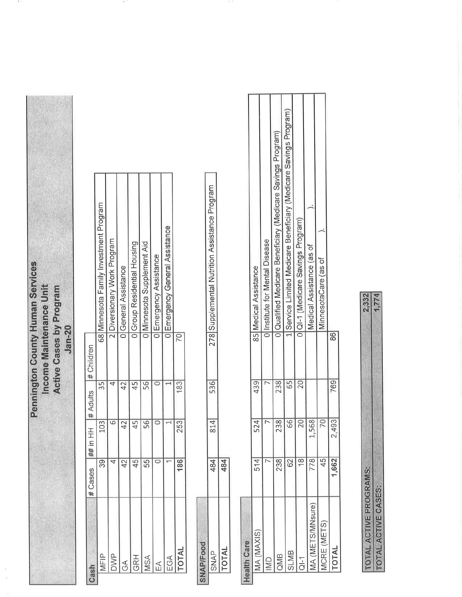**Pennington County Human Services** Income Maintenance Unit Active Cases by Program  $Jan-20$ 

| ash                            | # Cases         | ##in HH    strack #  HH   ## |                |                                        |
|--------------------------------|-----------------|------------------------------|----------------|----------------------------------------|
| <b>AFIP</b>                    | 39              | 103                          | 35             | 68 Minnesota Family Investment Program |
| aviv                           |                 |                              |                | Diversionary Work Program              |
| $\mathop{\mathsf{A}}\nolimits$ | $\overline{4}$  | $42 \,$                      | $\overline{4}$ | <b>J</b> General Assistance            |
| <b>GRH</b>                     | 45 <sup>1</sup> | 45                           | 45             | Group Residential Housing              |
| ASA                            | 55              | 56                           | 56             | <b>IMinnesota Supplement Aid</b>       |
|                                |                 |                              |                | <b>JEmergency Assistance</b>           |
| $rac{1}{2}$                    |                 |                              |                | <b>I Emergency General Assistance</b>  |
| <b>INTO</b>                    | 186             | 253                          | 183            |                                        |

| יינו הייתו הייתה הייתה הייתה הייתה הייתה הייתה הייתה הייתה הייתה הייתה הייתה הייתה הייתה הייתה הייתה הייתה היי<br>תוכנית הייתה הייתה הייתה הייתה הייתה הייתה הייתה הייתה הייתה הייתה הייתה הייתה הייתה הייתה הייתה הייתה הייתה |             |             |          |                        |
|--------------------------------------------------------------------------------------------------------------------------------------------------------------------------------------------------------------------------------|-------------|-------------|----------|------------------------|
|                                                                                                                                                                                                                                | X<br>١<br>1 | t<br>ا<br>د | 536<br>ĺ | Í<br>こくくらくもく<br>Ğ<br>Ò |
| $\frac{1}{2}$                                                                                                                                                                                                                  | ֧֢֖֚֚֚֬֝֬   |             |          |                        |

| <b>Health Care</b>        |                 |       |     |    |                                                                  |
|---------------------------|-----------------|-------|-----|----|------------------------------------------------------------------|
| MA (MAXIS)                | 514             | 524   | 439 |    | 85 Medical Assistance                                            |
| $\subseteq$               |                 |       |     |    | <b>Institute for Mental Disease</b>                              |
| <b>SINE</b>               | 238             | 238   | 238 |    | Cualified Medicare Beneficiary (Medicare Savings Program)        |
| <b>SLMB</b>               | $\overline{62}$ | 66    | 65  |    | LService Limited Medicare Beneficiary (Medicare Savings Program) |
| $\frac{1}{10}$            | ∞               |       |     |    | IQI-1 (Medicare Savings Program                                  |
| <b>JA (METS/MNSure)</b>   | 78              | 1,568 |     |    | Medical Assistance (as of                                        |
| <b><i>MCRE (METS)</i></b> |                 |       |     |    | MinnesotaCare (as of                                             |
| <b>INTOT</b>              | .662            | 2,493 | 769 | 86 |                                                                  |
|                           |                 |       |     |    |                                                                  |

| <b>FROOD</b><br>ì               |  |
|---------------------------------|--|
| CACEC<br><b>CONTRACTOR</b><br>l |  |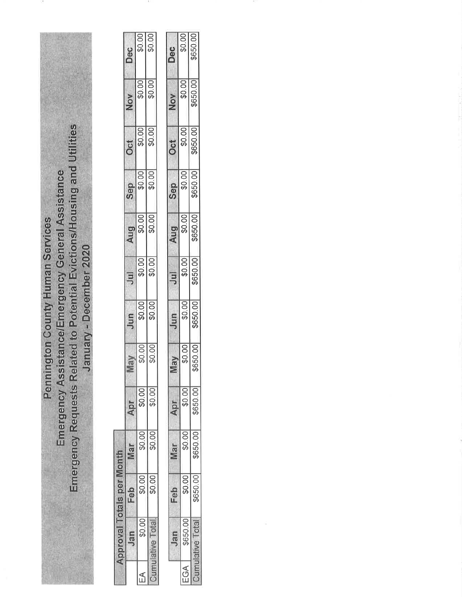Emergency Requests Related to Potential Evictions/Housing and Utilities Emergency Assistance/Emergency General Assistance **Pennington County Human Services** 

January - December 2020

 $\frac{60}{60}$  $60.00$ Dec  $60.00$ \$0.00 Nov  $$0.00]$  $\sqrt{100}$ Oct  $\frac{1000}{10000}$ Sep  $\frac{$0.00}{$0.00}$ Aug  $\frac{$0.00}{00.00}$  $\overline{5}$  $\frac{1000}{1000}$ Jun  $$0.00]$  $\frac{100}{20}$ **May**  $\sqrt{100}$  $$0.00$ Apr  $60.00$  $$0.00]$ Mar Approval Totals per Month  $$0.00]$  $\frac{1}{20.00}$ Feb  $60.00$ **Cumulative Total** Jan  $\mathbb{E}$ 

|       | Jan      |        | lar     | <b>JGY</b> | $\mathbb{R}$            | Jun      | $\overline{5}$ | Aug      | Sep    | Oct      | Nov      | Dec      |
|-------|----------|--------|---------|------------|-------------------------|----------|----------------|----------|--------|----------|----------|----------|
| $\Im$ | \$650.00 | \$0.00 | \$0.00  | \$0.00     | \$0.00                  | \$0.00   | \$0.00         | \$0.00   | \$0.00 | \$0.00   | \$0.00]  | \$0.00   |
|       |          | 650.00 | 3650.00 | 650.00     | <b>GRAN</b><br>>>>>>>>> | \$650.00 | \$650.00       | \$650.00 | 650.00 | \$650.00 | \$650.00 | \$650.00 |